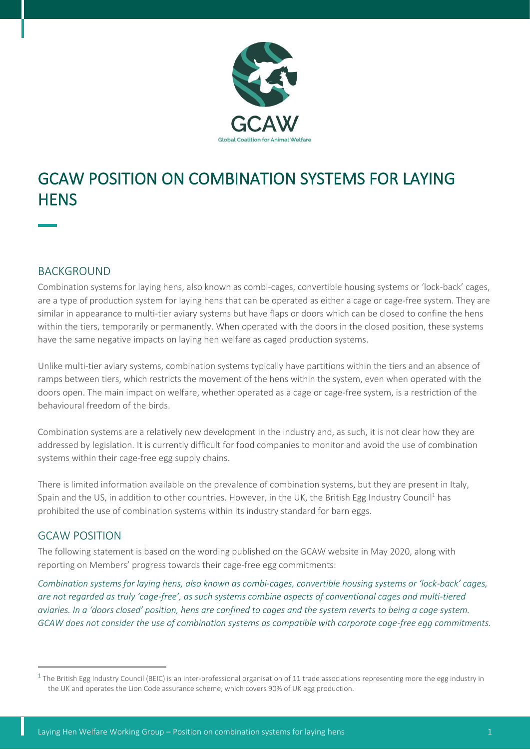

# GCAW POSITION ON COMBINATION SYSTEMS FOR LAYING **HENS**

# BACKGROUND

Combination systems for laying hens, also known as combi-cages, convertible housing systems or 'lock-back' cages, are a type of production system for laying hens that can be operated as either a cage or cage-free system. They are similar in appearance to multi-tier aviary systems but have flaps or doors which can be closed to confine the hens within the tiers, temporarily or permanently. When operated with the doors in the closed position, these systems have the same negative impacts on laying hen welfare as caged production systems.

Unlike multi-tier aviary systems, combination systems typically have partitions within the tiers and an absence of ramps between tiers, which restricts the movement of the hens within the system, even when operated with the doors open. The main impact on welfare, whether operated as a cage or cage-free system, is a restriction of the behavioural freedom of the birds.

Combination systems are a relatively new development in the industry and, as such, it is not clear how they are addressed by legislation. It is currently difficult for food companies to monitor and avoid the use of combination systems within their cage-free egg supply chains.

There is limited information available on the prevalence of combination systems, but they are present in Italy, Spain and the US, in addition to other countries. However, in the UK, the British Egg Industry Council<sup>1</sup> has prohibited the use of combination systems within its industry standard for barn eggs.

## GCAW POSITION

The following statement is based on the wording published on the GCAW website in May 2020, along with reporting on Members' progress towards their cage-free egg commitments:

*Combination systems for laying hens, also known as combi-cages, convertible housing systems or 'lock-back' cages, are not regarded as truly 'cage-free', as such systems combine aspects of conventional cages and multi-tiered aviaries. In a 'doors closed' position, hens are confined to cages and the system reverts to being a cage system. GCAW does not consider the use of combination systems as compatible with corporate cage-free egg commitments.*

 $^{\rm 1}$  The British Egg Industry Council (BEIC) is an inter-professional organisation of 11 trade associations representing more the egg industry in the UK and operates the Lion Code assurance scheme, which covers 90% of UK egg production.